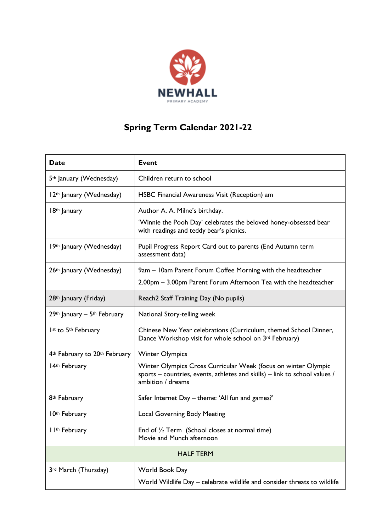

## **Spring Term Calendar 2021-22**

| <b>Date</b>                                           | <b>Event</b>                                                                                                                                                      |
|-------------------------------------------------------|-------------------------------------------------------------------------------------------------------------------------------------------------------------------|
| 5 <sup>th</sup> January (Wednesday)                   | Children return to school                                                                                                                                         |
| 12th January (Wednesday)                              | HSBC Financial Awareness Visit (Reception) am                                                                                                                     |
| 18th January                                          | Author A. A. Milne's birthday.<br>'Winnie the Pooh Day' celebrates the beloved honey-obsessed bear<br>with readings and teddy bear's picnics.                     |
| 19th January (Wednesday)                              | Pupil Progress Report Card out to parents (End Autumn term<br>assessment data)                                                                                    |
| 26th January (Wednesday)                              | 9am - I 0am Parent Forum Coffee Morning with the headteacher<br>2.00pm - 3.00pm Parent Forum Afternoon Tea with the headteacher                                   |
| 28 <sup>th</sup> January (Friday)                     | Reach2 Staff Training Day (No pupils)                                                                                                                             |
| $29th$ January - $5th$ February                       | National Story-telling week                                                                                                                                       |
| Ist to 5th February                                   | Chinese New Year celebrations (Curriculum, themed School Dinner,<br>Dance Workshop visit for whole school on 3rd February)                                        |
| 4 <sup>th</sup> February to 20 <sup>th</sup> February | <b>Winter Olympics</b>                                                                                                                                            |
| 14th February                                         | Winter Olympics Cross Curricular Week (focus on winter Olympic<br>sports – countries, events, athletes and skills) – link to school values /<br>ambition / dreams |
| 8 <sup>th</sup> February                              | Safer Internet Day - theme: 'All fun and games?'                                                                                                                  |
| 10th February                                         | <b>Local Governing Body Meeting</b>                                                                                                                               |
| I I <sup>th</sup> February                            | End of $\frac{1}{2}$ Term (School closes at normal time)<br>Movie and Munch afternoon                                                                             |
| <b>HALF TERM</b>                                      |                                                                                                                                                                   |
| 3rd March (Thursday)                                  | World Book Day<br>World Wildlife Day - celebrate wildlife and consider threats to wildlife                                                                        |